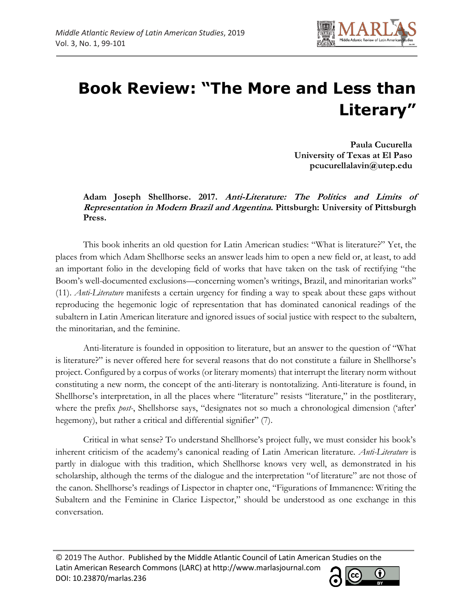

## **Book Review: "The More and Less than Literary"**

**Paula Cucurella University of Texas at El Paso pcucurellalavin@utep.edu**

**Adam Joseph Shellhorse. 2017. Anti-Literature: The Politics and Limits of Representation in Modern Brazil and Argentina. Pittsburgh: University of Pittsburgh Press.**

This book inherits an old question for Latin American studies: "What is literature?" Yet, the places from which Adam Shellhorse seeks an answer leads him to open a new field or, at least, to add an important folio in the developing field of works that have taken on the task of rectifying "the Boom's well-documented exclusions—concerning women's writings, Brazil, and minoritarian works" (11). *Anti-Literature* manifests a certain urgency for finding a way to speak about these gaps without reproducing the hegemonic logic of representation that has dominated canonical readings of the subaltern in Latin American literature and ignored issues of social justice with respect to the subaltern, the minoritarian, and the feminine.

Anti-literature is founded in opposition to literature, but an answer to the question of "What is literature?" is never offered here for several reasons that do not constitute a failure in Shellhorse's project. Configured by a corpus of works (or literary moments) that interrupt the literary norm without constituting a new norm, the concept of the anti-literary is nontotalizing. Anti-literature is found, in Shellhorse's interpretation, in all the places where "literature" resists "literature," in the postliterary, where the prefix *post*-, Shellshorse says, "designates not so much a chronological dimension ('after' hegemony), but rather a critical and differential signifier" (7).

Critical in what sense? To understand Shellhorse's project fully, we must consider his book's inherent criticism of the academy's canonical reading of Latin American literature. *Anti-Literature* is partly in dialogue with this tradition, which Shellhorse knows very well, as demonstrated in his scholarship, although the terms of the dialogue and the interpretation "of literature" are not those of the canon. Shellhorse's readings of Lispector in chapter one, "Figurations of Immanence: Writing the Subaltern and the Feminine in Clarice Lispector," should be understood as one exchange in this conversation.

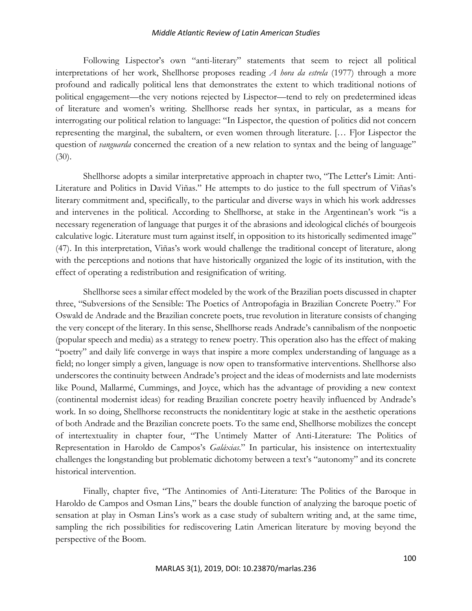## *Middle Atlantic Review of Latin American Studies*

Following Lispector's own "anti-literary" statements that seem to reject all political interpretations of her work, Shellhorse proposes reading *A hora da estrela* (1977) through a more profound and radically political lens that demonstrates the extent to which traditional notions of political engagement—the very notions rejected by Lispector—tend to rely on predetermined ideas of literature and women's writing. Shellhorse reads her syntax, in particular, as a means for interrogating our political relation to language: "In Lispector, the question of politics did not concern representing the marginal, the subaltern, or even women through literature. [… F]or Lispector the question of *vanguarda* concerned the creation of a new relation to syntax and the being of language" (30).

Shellhorse adopts a similar interpretative approach in chapter two, "The Letter's Limit: Anti-Literature and Politics in David Viñas." He attempts to do justice to the full spectrum of Viñas's literary commitment and, specifically, to the particular and diverse ways in which his work addresses and intervenes in the political. According to Shellhorse, at stake in the Argentinean's work "is a necessary regeneration of language that purges it of the abrasions and ideological clichés of bourgeois calculative logic. Literature must turn against itself, in opposition to its historically sedimented image" (47). In this interpretation, Viñas's work would challenge the traditional concept of literature, along with the perceptions and notions that have historically organized the logic of its institution, with the effect of operating a redistribution and resignification of writing.

Shellhorse sees a similar effect modeled by the work of the Brazilian poets discussed in chapter three, "Subversions of the Sensible: The Poetics of Antropofagia in Brazilian Concrete Poetry." For Oswald de Andrade and the Brazilian concrete poets, true revolution in literature consists of changing the very concept of the literary. In this sense, Shellhorse reads Andrade's cannibalism of the nonpoetic (popular speech and media) as a strategy to renew poetry. This operation also has the effect of making "poetry" and daily life converge in ways that inspire a more complex understanding of language as a field; no longer simply a given, language is now open to transformative interventions. Shellhorse also underscores the continuity between Andrade's project and the ideas of modernists and late modernists like Pound, Mallarmé, Cummings, and Joyce, which has the advantage of providing a new context (continental modernist ideas) for reading Brazilian concrete poetry heavily influenced by Andrade's work. In so doing, Shellhorse reconstructs the nonidentitary logic at stake in the aesthetic operations of both Andrade and the Brazilian concrete poets. To the same end, Shellhorse mobilizes the concept of intertextuality in chapter four, "The Untimely Matter of Anti-Literature: The Politics of Representation in Haroldo de Campos's *Galáxias.*" In particular, his insistence on intertextuality challenges the longstanding but problematic dichotomy between a text's "autonomy" and its concrete historical intervention.

Finally, chapter five, "The Antinomies of Anti-Literature: The Politics of the Baroque in Haroldo de Campos and Osman Lins," bears the double function of analyzing the baroque poetic of sensation at play in Osman Lins's work as a case study of subaltern writing and, at the same time, sampling the rich possibilities for rediscovering Latin American literature by moving beyond the perspective of the Boom.